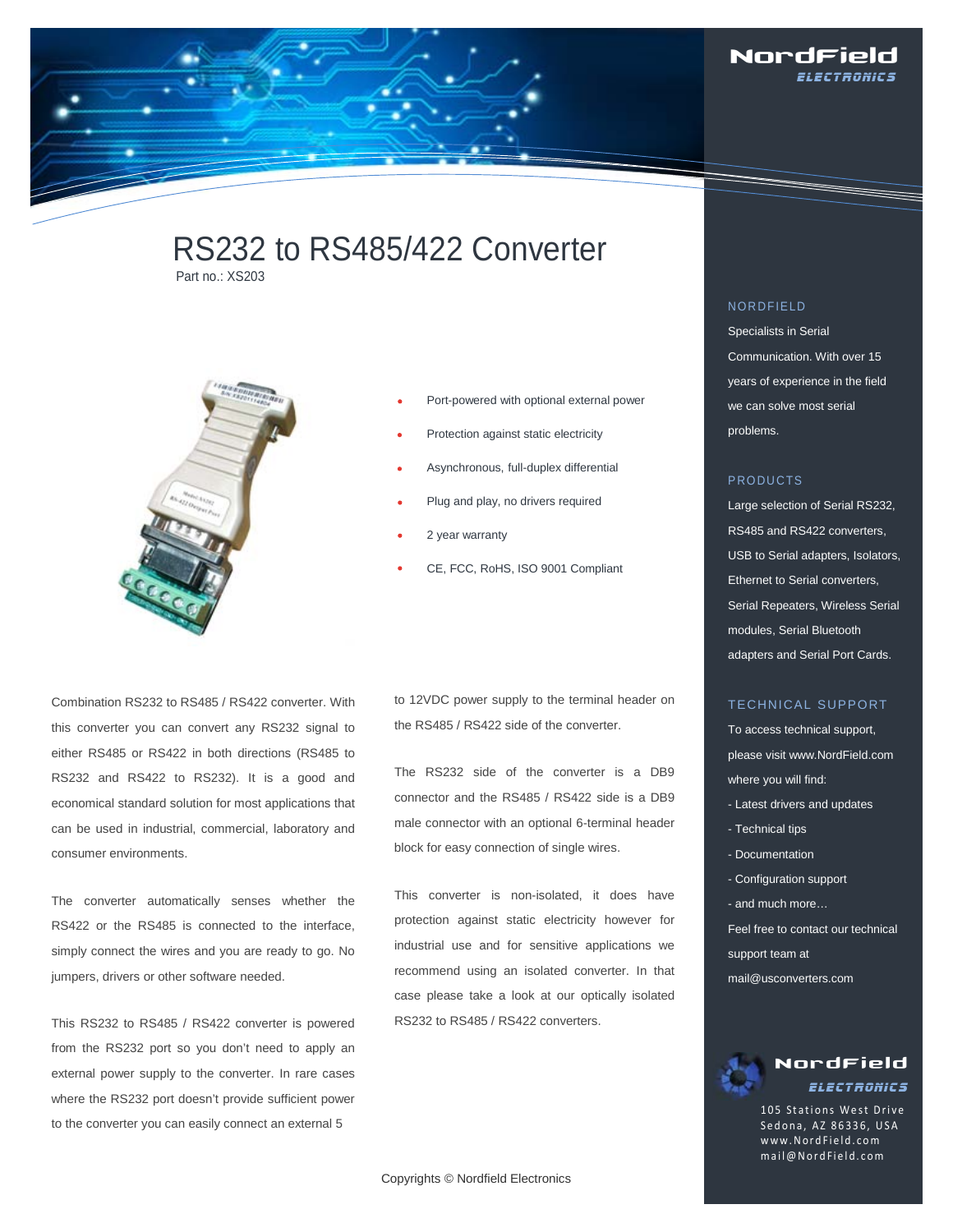

# RS232 to RS485/422 Converter Part no : XS203



- Port-powered with optional external power
	- Protection against static electricity
- Asynchronous, full-duplex differential
- Plug and play, no drivers required
- 2 year warranty
- CE, FCC, RoHS, ISO 9001 Compliant

Combination RS232 to RS485 / RS422 converter. With this converter you can convert any RS232 signal to either RS485 or RS422 in both directions (RS485 to RS232 and RS422 to RS232). It is a good and economical standard solution for most applications that can be used in industrial, commercial, laboratory and consumer environments.

The converter automatically senses whether the RS422 or the RS485 is connected to the interface, simply connect the wires and you are ready to go. No jumpers, drivers or other software needed.

This RS232 to RS485 / RS422 converter is powered from the RS232 port so you don't need to apply an external power supply to the converter. In rare cases where the RS232 port doesn't provide sufficient power to the converter you can easily connect an external 5

to 12VDC power supply to the terminal header on the RS485 / RS422 side of the converter.

The RS232 side of the converter is a DB9 connector and the RS485 / RS422 side is a DB9 male connector with an optional 6-terminal header block for easy connection of single wires.

This converter is non-isolated, it does have protection against static electricity however for industrial use and for sensitive applications we recommend using an isolated converter. In that case please take a look at our optically isolated RS232 to RS485 / RS422 converters.

# NORDFIELD

Specialists in Serial Communication. With over 15 years of experience in the field we can solve most serial problems.

#### PRODUCTS

Large selection of Serial RS232, RS485 and RS422 converters, USB to Serial adapters, Isolators, Ethernet to Serial converters, Serial Repeaters, Wireless Serial modules, Serial Bluetooth adapters and Serial Port Cards.

#### TECHNICAL SUPPORT

To access technical support, please visit www.NordField.com where you will find:

- Latest drivers and updates
- Technical tips
- Documentation
- Configuration support
- and much more…
- Feel free to contact our technical
- support team at
- mail@usconverters.com

# NordField Electronics

105 Stations West Drive Sedona, AZ 86336, USA www.NordField .com mail@NordField.com

Copyrights © Nordfield Electronics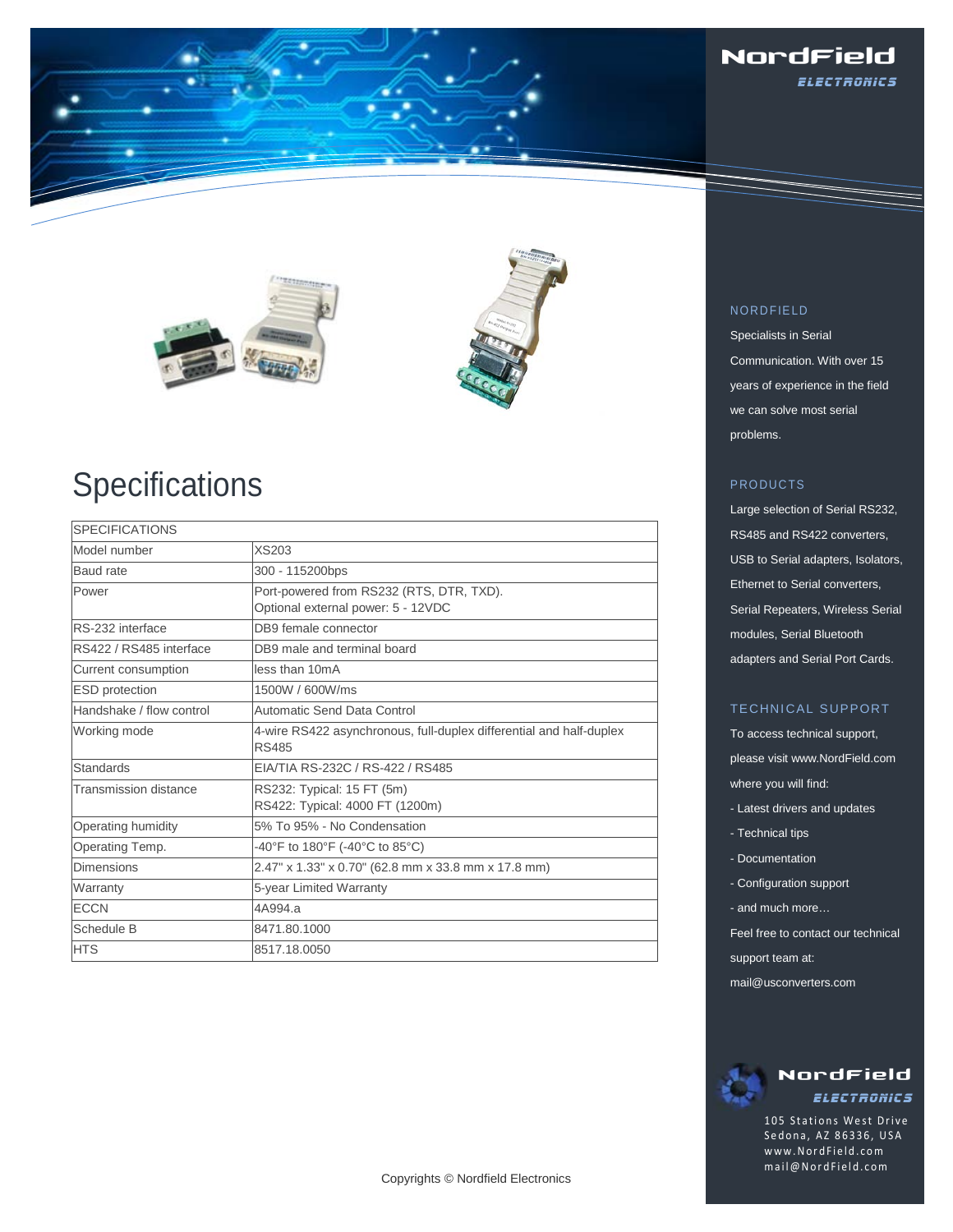





# **Specifications**

| <b>SPECIFICATIONS</b>    |                                                                                     |  |
|--------------------------|-------------------------------------------------------------------------------------|--|
| Model number             | XS203                                                                               |  |
| Baud rate                | 300 - 115200bps                                                                     |  |
| Power                    | Port-powered from RS232 (RTS, DTR, TXD).<br>Optional external power: 5 - 12VDC      |  |
| RS-232 interface         | DB9 female connector                                                                |  |
| RS422 / RS485 interface  | DB9 male and terminal board                                                         |  |
| Current consumption      | less than 10mA                                                                      |  |
| <b>ESD</b> protection    | 1500W / 600W/ms                                                                     |  |
| Handshake / flow control | Automatic Send Data Control                                                         |  |
| Working mode             | 4-wire RS422 asynchronous, full-duplex differential and half-duplex<br><b>RS485</b> |  |
| <b>Standards</b>         | EIA/TIA RS-232C / RS-422 / RS485                                                    |  |
| Transmission distance    | RS232: Typical: 15 FT (5m)<br>RS422: Typical: 4000 FT (1200m)                       |  |
| Operating humidity       | 5% To 95% - No Condensation                                                         |  |
| Operating Temp.          | -40°F to 180°F (-40°C to 85°C)                                                      |  |
| Dimensions               | 2.47" x 1.33" x 0.70" (62.8 mm x 33.8 mm x 17.8 mm)                                 |  |
| Warranty                 | 5-year Limited Warranty                                                             |  |
| <b>ECCN</b>              | 4A994.a                                                                             |  |
| Schedule B               | 8471.80.1000                                                                        |  |
| <b>HTS</b>               | 8517.18.0050                                                                        |  |

# NORDFIELD

Specialists in Serial Communication. With over 15 years of experience in the field we can solve most serial problems.

# PRODUCTS

Large selection of Serial RS232, RS485 and RS422 converters, USB to Serial adapters, Isolators, Ethernet to Serial converters, Serial Repeaters, Wireless Serial modules, Serial Bluetooth adapters and Serial Port Cards.

# TECHNICAL SUPPORT

To access technical support, please visit www.NordField.com where you will find:

- Latest drivers and updates
- Technical tips
- Documentation
- Configuration support
- and much more…
- Feel free to contact our technical
- support team at:
- mail@usconverters.com

# NordField **ELECTRONICS**

105 Stations West Drive Sedona, AZ 86336, USA www.NordField .com mail@NordField.com